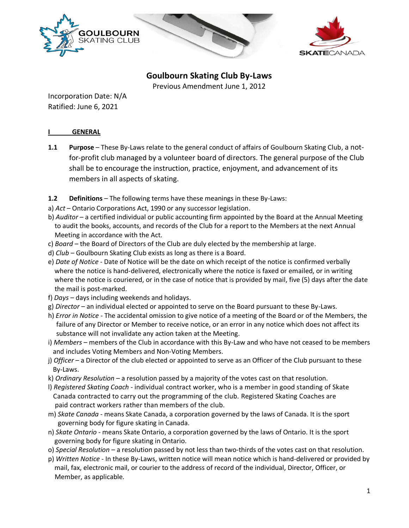



# **Goulbourn Skating Club By-Laws**

Previous Amendment June 1, 2012

Incorporation Date: N/A Ratified: June 6, 2021

## **I GENERAL**

- **1.1 Purpose**  These By-Laws relate to the general conduct of affairs of Goulbourn Skating Club, a notfor-profit club managed by a volunteer board of directors. The general purpose of the Club shall be to encourage the instruction, practice, enjoyment, and advancement of its members in all aspects of skating.
- **1.2 Definitions** The following terms have these meanings in these By-Laws:
- a) *Act* Ontario Corporations Act, 1990 or any successor legislation.
- b) *Auditor*  a certified individual or public accounting firm appointed by the Board at the Annual Meeting to audit the books, accounts, and records of the Club for a report to the Members at the next Annual Meeting in accordance with the Act.
- c) *Board* the Board of Directors of the Club are duly elected by the membership at large.
- d) *Club* Goulbourn Skating Club exists as long as there is a Board.
- e) *Date of Notice* Date of Notice will be the date on which receipt of the notice is confirmed verbally where the notice is hand-delivered, electronically where the notice is faxed or emailed, or in writing where the notice is couriered, or in the case of notice that is provided by mail, five (5) days after the date the mail is post-marked.
- f) *Days* days including weekends and holidays.
- g) *Director* an individual elected or appointed to serve on the Board pursuant to these By-Laws.
- h) *Error in Notice* The accidental omission to give notice of a meeting of the Board or of the Members, the failure of any Director or Member to receive notice, or an error in any notice which does not affect its substance will not invalidate any action taken at the Meeting.
- i) *Members* members of the Club in accordance with this By-Law and who have not ceased to be members and includes Voting Members and Non-Voting Members.
- j) *Officer* a Director of the club elected or appointed to serve as an Officer of the Club pursuant to these By-Laws.
- k) *Ordinary Resolution* a resolution passed by a majority of the votes cast on that resolution.
- l) *Registered Skating Coach* individual contract worker, who is a member in good standing of Skate Canada contracted to carry out the programming of the club. Registered Skating Coaches are paid contract workers rather than members of the club.
- m) *Skate Canada* means Skate Canada, a corporation governed by the laws of Canada. It is the sport governing body for figure skating in Canada.
- n) *Skate Ontario* means Skate Ontario, a corporation governed by the laws of Ontario. It is the sport governing body for figure skating in Ontario.
- o) *Special Resolution* a resolution passed by not less than two-thirds of the votes cast on that resolution.
- p) *Written Notice* In these By-Laws, written notice will mean notice which is hand-delivered or provided by mail, fax, electronic mail, or courier to the address of record of the individual, Director, Officer, or Member, as applicable.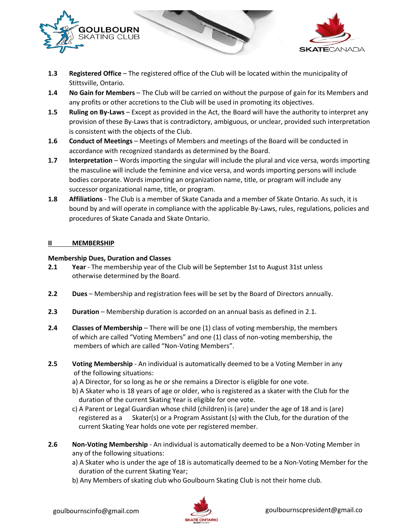

- **1.3 Registered Office** The registered office of the Club will be located within the municipality of Stittsville, Ontario.
- **1.4 No Gain for Members** The Club will be carried on without the purpose of gain for its Members and any profits or other accretions to the Club will be used in promoting its objectives.
- **1.5 Ruling on By-Laws** Except as provided in the Act, the Board will have the authority to interpret any provision of these By-Laws that is contradictory, ambiguous, or unclear, provided such interpretation is consistent with the objects of the Club.
- **1.6 Conduct of Meetings** Meetings of Members and meetings of the Board will be conducted in accordance with recognized standards as determined by the Board.
- **1.7 Interpretation** Words importing the singular will include the plural and vice versa, words importing the masculine will include the feminine and vice versa, and words importing persons will include bodies corporate. Words importing an organization name, title, or program will include any successor organizational name, title, or program.
- **1.8 Affiliations** The Club is a member of Skate Canada and a member of Skate Ontario. As such, it is bound by and will operate in compliance with the applicable By-Laws, rules, regulations, policies and procedures of Skate Canada and Skate Ontario.

### **II MEMBERSHIP**

## **Membership Dues, Duration and Classes**

- **2.1 Year** The membership year of the Club will be September 1st to August 31st unless otherwise determined by the Board.
- **2.2 Dues** Membership and registration fees will be set by the Board of Directors annually.
- **2.3 Duration** Membership duration is accorded on an annual basis as defined in 2.1.
- **2.4 Classes of Membership** There will be one (1) class of voting membership, the members of which are called "Voting Members" and one (1) class of non-voting membership, the members of which are called "Non-Voting Members".
- **2.5 Voting Membership** An individual is automatically deemed to be a Voting Member in any of the following situations:
	- a) A Director, for so long as he or she remains a Director is eligible for one vote.
	- b) A Skater who is 18 years of age or older, who is registered as a skater with the Club for the duration of the current Skating Year is eligible for one vote.
	- c) A Parent or Legal Guardian whose child (children) is (are) under the age of 18 and is (are) registered as a Skater(s) or a Program Assistant (s) with the Club, for the duration of the current Skating Year holds one vote per registered member.
- **2.6 Non-Voting Membership** An individual is automatically deemed to be a Non-Voting Member in any of the following situations:
	- a) A Skater who is under the age of 18 is automatically deemed to be a Non-Voting Member for the duration of the current Skating Year;
	- b) Any Members of skating club who Goulbourn Skating Club is not their home club.

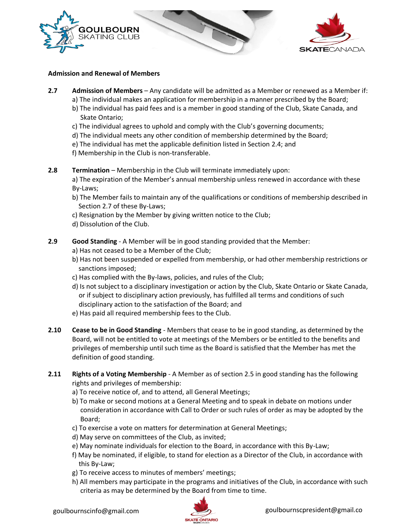



#### **Admission and Renewal of Members**

- **2.7 Admission of Members** Any candidate will be admitted as a Member or renewed as a Member if:
	- a) The individual makes an application for membership in a manner prescribed by the Board;
	- b) The individual has paid fees and is a member in good standing of the Club, Skate Canada, and Skate Ontario;
	- c) The individual agrees to uphold and comply with the Club's governing documents;
	- d) The individual meets any other condition of membership determined by the Board;
	- e) The individual has met the applicable definition listed in Section 2.4; and
	- f) Membership in the Club is non-transferable.
- **2.8 Termination** Membership in the Club will terminate immediately upon:

a) The expiration of the Member's annual membership unless renewed in accordance with these By-Laws;

- b) The Member fails to maintain any of the qualifications or conditions of membership described in Section 2.7 of these By-Laws;
- c) Resignation by the Member by giving written notice to the Club;
- d) Dissolution of the Club.

**2.9 Good Standing** - A Member will be in good standing provided that the Member:

- a) Has not ceased to be a Member of the Club;
- b) Has not been suspended or expelled from membership, or had other membership restrictions or sanctions imposed;
- c) Has complied with the By-laws, policies, and rules of the Club;
- d) Is not subject to a disciplinary investigation or action by the Club, Skate Ontario or Skate Canada, or if subject to disciplinary action previously, has fulfilled all terms and conditions of such disciplinary action to the satisfaction of the Board; and
- e) Has paid all required membership fees to the Club.
- **2.10 Cease to be in Good Standing** Members that cease to be in good standing, as determined by the Board, will not be entitled to vote at meetings of the Members or be entitled to the benefits and privileges of membership until such time as the Board is satisfied that the Member has met the definition of good standing.
- **2.11 Rights of a Voting Membership** A Member as of section 2.5 in good standing has the following rights and privileges of membership:
	- a) To receive notice of, and to attend, all General Meetings;
	- b) To make or second motions at a General Meeting and to speak in debate on motions under consideration in accordance with Call to Order or such rules of order as may be adopted by the Board;
	- c) To exercise a vote on matters for determination at General Meetings;
	- d) May serve on committees of the Club, as invited;
	- e) May nominate individuals for election to the Board, in accordance with this By-Law;
	- f) May be nominated, if eligible, to stand for election as a Director of the Club, in accordance with this By-Law;
	- g) To receive access to minutes of members' meetings;
	- h) All members may participate in the programs and initiatives of the Club, in accordance with such criteria as may be determined by the Board from time to time.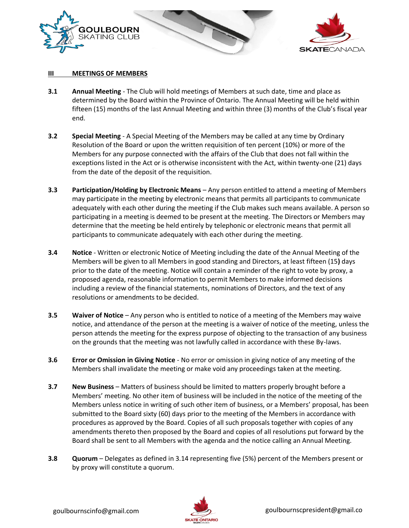

#### **III MEETINGS OF MEMBERS**

- **3.1 Annual Meeting** The Club will hold meetings of Members at such date, time and place as determined by the Board within the Province of Ontario. The Annual Meeting will be held within fifteen (15) months of the last Annual Meeting and within three (3) months of the Club's fiscal year end.
- **3.2 Special Meeting** A Special Meeting of the Members may be called at any time by Ordinary Resolution of the Board or upon the written requisition of ten percent (10%) or more of the Members for any purpose connected with the affairs of the Club that does not fall within the exceptions listed in the Act or is otherwise inconsistent with the Act, within twenty-one (21) days from the date of the deposit of the requisition.
- **3.3 Participation/Holding by Electronic Means** Any person entitled to attend a meeting of Members may participate in the meeting by electronic means that permits all participants to communicate adequately with each other during the meeting if the Club makes such means available. A person so participating in a meeting is deemed to be present at the meeting. The Directors or Members may determine that the meeting be held entirely by telephonic or electronic means that permit all participants to communicate adequately with each other during the meeting.
- **3.4 Notice** Written or electronic Notice of Meeting including the date of the Annual Meeting of the Members will be given to all Members in good standing and Directors, at least fifteen (15**)** days prior to the date of the meeting. Notice will contain a reminder of the right to vote by proxy, a proposed agenda, reasonable information to permit Members to make informed decisions including a review of the financial statements, nominations of Directors, and the text of any resolutions or amendments to be decided.
- **3.5 Waiver of Notice** Any person who is entitled to notice of a meeting of the Members may waive notice, and attendance of the person at the meeting is a waiver of notice of the meeting, unless the person attends the meeting for the express purpose of objecting to the transaction of any business on the grounds that the meeting was not lawfully called in accordance with these By-laws.
- **3.6 Error or Omission in Giving Notice** No error or omission in giving notice of any meeting of the Members shall invalidate the meeting or make void any proceedings taken at the meeting.
- **3.7 New Business** Matters of business should be limited to matters properly brought before a Members' meeting. No other item of business will be included in the notice of the meeting of the Members unless notice in writing of such other item of business, or a Members' proposal, has been submitted to the Board sixty (60) days prior to the meeting of the Members in accordance with procedures as approved by the Board. Copies of all such proposals together with copies of any amendments thereto then proposed by the Board and copies of all resolutions put forward by the Board shall be sent to all Members with the agenda and the notice calling an Annual Meeting.
- **3.8 Quorum** Delegates as defined in 3.14 representing five (5%) percent of the Members present or by proxy will constitute a quorum.

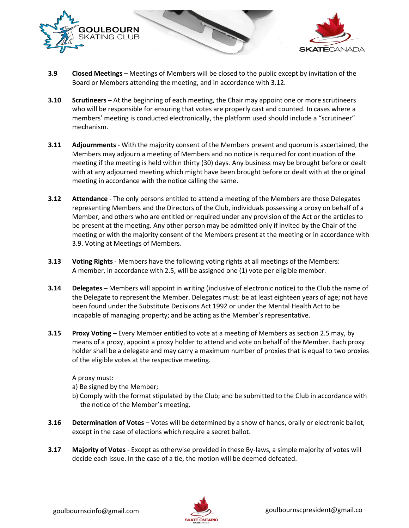

- **3.9 Closed Meetings** Meetings of Members will be closed to the public except by invitation of the Board or Members attending the meeting, and in accordance with 3.12.
- **3.10 Scrutineers** At the beginning of each meeting, the Chair may appoint one or more scrutineers who will be responsible for ensuring that votes are properly cast and counted. In cases where a members' meeting is conducted electronically, the platform used should include a "scrutineer" mechanism.
- **3.11 Adjournments** With the majority consent of the Members present and quorum is ascertained, the Members may adjourn a meeting of Members and no notice is required for continuation of the meeting if the meeting is held within thirty (30) days. Any business may be brought before or dealt with at any adjourned meeting which might have been brought before or dealt with at the original meeting in accordance with the notice calling the same.
- **3.12 Attendance** The only persons entitled to attend a meeting of the Members are those Delegates representing Members and the Directors of the Club, individuals possessing a proxy on behalf of a Member, and others who are entitled or required under any provision of the Act or the articles to be present at the meeting. Any other person may be admitted only if invited by the Chair of the meeting or with the majority consent of the Members present at the meeting or in accordance with 3.9. Voting at Meetings of Members.
- **3.13 Voting Rights** Members have the following voting rights at all meetings of the Members: A member, in accordance with 2.5, will be assigned one (1) vote per eligible member.
- **3.14 Delegates** Members will appoint in writing (inclusive of electronic notice) to the Club the name of the Delegate to represent the Member. Delegates must: be at least eighteen years of age; not have been found under the Substitute Decisions Act 1992 or under the Mental Health Act to be incapable of managing property; and be acting as the Member's representative.
- **3.15 Proxy Voting** Every Member entitled to vote at a meeting of Members as section 2.5 may, by means of a proxy, appoint a proxy holder to attend and vote on behalf of the Member. Each proxy holder shall be a delegate and may carry a maximum number of proxies that is equal to two proxies of the eligible votes at the respective meeting.

A proxy must:

- a) Be signed by the Member;
- b) Comply with the format stipulated by the Club; and be submitted to the Club in accordance with the notice of the Member's meeting.
- **3.16 Determination of Votes** Votes will be determined by a show of hands, orally or electronic ballot, except in the case of elections which require a secret ballot.
- **3.17 Majority of Votes** Except as otherwise provided in these By-laws, a simple majority of votes will decide each issue. In the case of a tie, the motion will be deemed defeated.

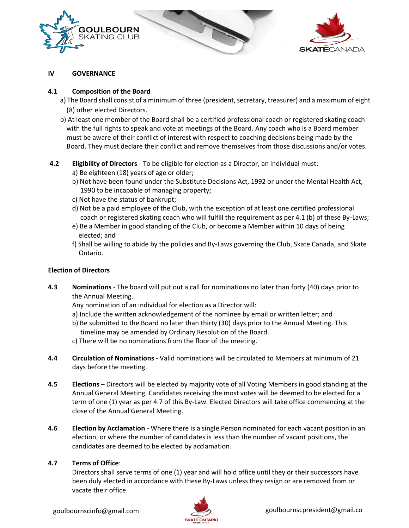



#### **GOVERNANCE**

#### **4.1 Composition of the Board**

- a) The Board shall consist of a minimum of three (president, secretary, treasurer) and a maximum of eight (8) other elected Directors.
- b) At least one member of the Board shall be a certified professional coach or registered skating coach with the full rights to speak and vote at meetings of the Board. Any coach who is a Board member must be aware of their conflict of interest with respect to coaching decisions being made by the Board. They must declare their conflict and remove themselves from those discussions and/or votes.

### **4.2 Eligibility of Directors** - To be eligible for election as a Director, an individual must:

- a) Be eighteen (18) years of age or older;
- b) Not have been found under the Substitute Decisions Act, 1992 or under the Mental Health Act, 1990 to be incapable of managing property;
- c) Not have the status of bankrupt;
- d) Not be a paid employee of the Club, with the exception of at least one certified professional coach or registered skating coach who will fulfill the requirement as per 4.1 (b) of these By-Laws;
- e) Be a Member in good standing of the Club, or become a Member within 10 days of being elected; and
- f) Shall be willing to abide by the policies and By-Laws governing the Club, Skate Canada, and Skate Ontario.

## **Election of Directors**

- **4.3 Nominations** The board will put out a call for nominations no later than forty (40) days prior to the Annual Meeting.
	- Any nomination of an individual for election as a Director will:
	- a) Include the written acknowledgement of the nominee by email or written letter; and
	- b) Be submitted to the Board no later than thirty (30) days prior to the Annual Meeting. This timeline may be amended by Ordinary Resolution of the Board.
	- c) There will be no nominations from the floor of the meeting.
- **4.4 Circulation of Nominations** Valid nominations will be circulated to Members at minimum of 21 days before the meeting.
- **4.5 Elections** Directors will be elected by majority vote of all Voting Members in good standing at the Annual General Meeting. Candidates receiving the most votes will be deemed to be elected for a term of one (1) year as per 4.7 of this By-Law. Elected Directors will take office commencing at the close of the Annual General Meeting.
- **4.6 Election by Acclamation** Where there is a single Person nominated for each vacant position in an election, or where the number of candidates is less than the number of vacant positions, the candidates are deemed to be elected by acclamation.

## **4.7 Terms of Office**:

Directors shall serve terms of one (1) year and will hold office until they or their successors have been duly elected in accordance with these By-Laws unless they resign or are removed from or vacate their office.

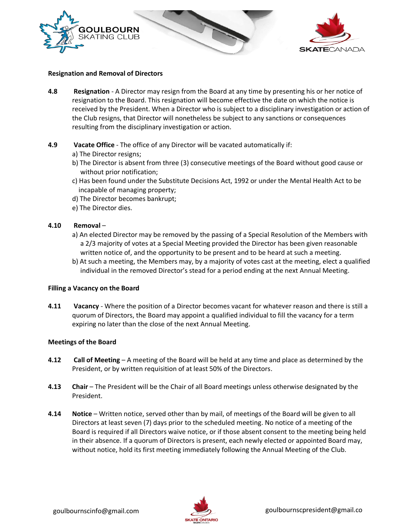



#### **Resignation and Removal of Directors**

- **4.8 Resignation** A Director may resign from the Board at any time by presenting his or her notice of resignation to the Board. This resignation will become effective the date on which the notice is received by the President. When a Director who is subject to a disciplinary investigation or action of the Club resigns, that Director will nonetheless be subject to any sanctions or consequences resulting from the disciplinary investigation or action.
- **4.9 Vacate Office** The office of any Director will be vacated automatically if:
	- a) The Director resigns;
	- b) The Director is absent from three (3) consecutive meetings of the Board without good cause or without prior notification;
	- c) Has been found under the Substitute Decisions Act, 1992 or under the Mental Health Act to be incapable of managing property;
	- d) The Director becomes bankrupt;
	- e) The Director dies.

#### **4.10 Removal** –

- a) An elected Director may be removed by the passing of a Special Resolution of the Members with a 2/3 majority of votes at a Special Meeting provided the Director has been given reasonable written notice of, and the opportunity to be present and to be heard at such a meeting.
- b) At such a meeting, the Members may, by a majority of votes cast at the meeting, elect a qualified individual in the removed Director's stead for a period ending at the next Annual Meeting.

#### **Filling a Vacancy on the Board**

**4.11 Vacancy** - Where the position of a Director becomes vacant for whatever reason and there is still a quorum of Directors, the Board may appoint a qualified individual to fill the vacancy for a term expiring no later than the close of the next Annual Meeting.

#### **Meetings of the Board**

- **4.12 Call of Meeting** A meeting of the Board will be held at any time and place as determined by the President, or by written requisition of at least 50% of the Directors.
- **4.13 Chair** The President will be the Chair of all Board meetings unless otherwise designated by the President.
- **4.14 Notice** Written notice, served other than by mail, of meetings of the Board will be given to all Directors at least seven (7) days prior to the scheduled meeting. No notice of a meeting of the Board is required if all Directors waive notice, or if those absent consent to the meeting being held in their absence. If a quorum of Directors is present, each newly elected or appointed Board may, without notice, hold its first meeting immediately following the Annual Meeting of the Club.

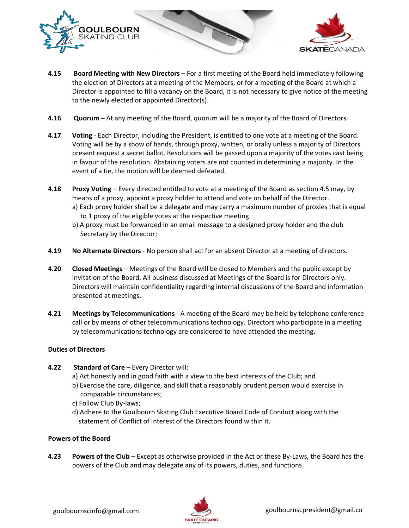

- **4.15 Board Meeting with New Directors** For a first meeting of the Board held immediately following the election of Directors at a meeting of the Members, or for a meeting of the Board at which a Director is appointed to fill a vacancy on the Board, it is not necessary to give notice of the meeting to the newly elected or appointed Director(s).
- **4.16 Quorum** At any meeting of the Board, quorum will be a majority of the Board of Directors.
- **4.17 Voting** Each Director, including the President, is entitled to one vote at a meeting of the Board. Voting will be by a show of hands, through proxy, written, or orally unless a majority of Directors present request a secret ballot. Resolutions will be passed upon a majority of the votes cast being in favour of the resolution. Abstaining voters are not counted in determining a majority. In the event of a tie, the motion will be deemed defeated.
- **4.18 Proxy Voting** Every directed entitled to vote at a meeting of the Board as section 4.5 may, by means of a proxy, appoint a proxy holder to attend and vote on behalf of the Director.
	- a) Each proxy holder shall be a delegate and may carry a maximum number of proxies that is equal to 1 proxy of the eligible votes at the respective meeting.
	- b) A proxy must be forwarded in an email message to a designed proxy holder and the club Secretary by the Director;
- **4.19 No Alternate Directors** No person shall act for an absent Director at a meeting of directors.
- **4.20 Closed Meetings** Meetings of the Board will be closed to Members and the public except by invitation of the Board. All business discussed at Meetings of the Board is for Directors only. Directors will maintain confidentiality regarding internal discussions of the Board and information presented at meetings.
- **4.21 Meetings by Telecommunications** A meeting of the Board may be held by telephone conference call or by means of other telecommunications technology. Directors who participate in a meeting by telecommunications technology are considered to have attended the meeting.

## **Duties of Directors**

- **4.22 Standard of Care** Every Director will:
	- a) Act honestly and in good faith with a view to the best interests of the Club; and
	- b) Exercise the care, diligence, and skill that a reasonably prudent person would exercise in comparable circumstances;
	- c) Follow Club By-laws;
	- d) Adhere to the Goulbourn Skating Club Executive Board Code of Conduct along with the statement of Conflict of Interest of the Directors found within it.

## **Powers of the Board**

**4.23 Powers of the Club** – Except as otherwise provided in the Act or these By-Laws, the Board has the powers of the Club and may delegate any of its powers, duties, and functions.



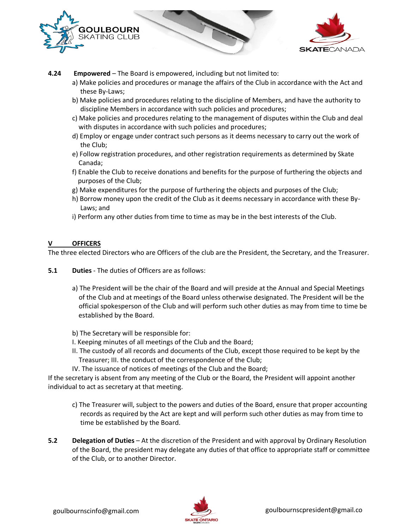



**4.24 Empowered** – The Board is empowered, including but not limited to:

- a) Make policies and procedures or manage the affairs of the Club in accordance with the Act and these By-Laws;
- b) Make policies and procedures relating to the discipline of Members, and have the authority to discipline Members in accordance with such policies and procedures;
- c) Make policies and procedures relating to the management of disputes within the Club and deal with disputes in accordance with such policies and procedures;
- d) Employ or engage under contract such persons as it deems necessary to carry out the work of the Club;
- e) Follow registration procedures, and other registration requirements as determined by Skate Canada;
- f) Enable the Club to receive donations and benefits for the purpose of furthering the objects and purposes of the Club;
- g) Make expenditures for the purpose of furthering the objects and purposes of the Club;
- h) Borrow money upon the credit of the Club as it deems necessary in accordance with these By- Laws; and
- i) Perform any other duties from time to time as may be in the best interests of the Club.

### **V OFFICERS**

The three elected Directors who are Officers of the club are the President, the Secretary, and the Treasurer.

**5.1 Duties** - The duties of Officers are as follows:

- a) The President will be the chair of the Board and will preside at the Annual and Special Meetings of the Club and at meetings of the Board unless otherwise designated. The President will be the official spokesperson of the Club and will perform such other duties as may from time to time be established by the Board.
- b) The Secretary will be responsible for:
- I. Keeping minutes of all meetings of the Club and the Board;
- II. The custody of all records and documents of the Club, except those required to be kept by the Treasurer; III. the conduct of the correspondence of the Club;
- IV. The issuance of notices of meetings of the Club and the Board;

If the secretary is absent from any meeting of the Club or the Board, the President will appoint another individual to act as secretary at that meeting.

- c) The Treasurer will, subject to the powers and duties of the Board, ensure that proper accounting records as required by the Act are kept and will perform such other duties as may from time to time be established by the Board.
- **5.2 Delegation of Duties** At the discretion of the President and with approval by Ordinary Resolution of the Board, the president may delegate any duties of that office to appropriate staff or committee of the Club, or to another Director.



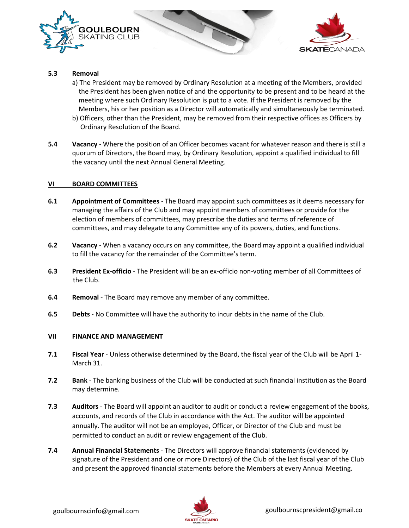



#### **5.3 Removal**

- a) The President may be removed by Ordinary Resolution at a meeting of the Members, provided the President has been given notice of and the opportunity to be present and to be heard at the meeting where such Ordinary Resolution is put to a vote. If the President is removed by the Members, his or her position as a Director will automatically and simultaneously be terminated.
- b) Officers, other than the President, may be removed from their respective offices as Officers by Ordinary Resolution of the Board.
- **5.4 Vacancy** Where the position of an Officer becomes vacant for whatever reason and there is still a quorum of Directors, the Board may, by Ordinary Resolution, appoint a qualified individual to fill the vacancy until the next Annual General Meeting.

#### **VI BOARD COMMITTEES**

- **6.1 Appointment of Committees** The Board may appoint such committees as it deems necessary for managing the affairs of the Club and may appoint members of committees or provide for the election of members of committees, may prescribe the duties and terms of reference of committees, and may delegate to any Committee any of its powers, duties, and functions.
- **6.2 Vacancy** When a vacancy occurs on any committee, the Board may appoint a qualified individual to fill the vacancy for the remainder of the Committee's term.
- **6.3 President Ex-officio** The President will be an ex-officio non-voting member of all Committees of the Club.
- **6.4 Removal** The Board may remove any member of any committee.
- **6.5 Debts** No Committee will have the authority to incur debts in the name of the Club.

#### **VII FINANCE AND MANAGEMENT**

- **7.1 Fiscal Year** Unless otherwise determined by the Board, the fiscal year of the Club will be April 1- March 31.
- **7.2** Bank The banking business of the Club will be conducted at such financial institution as the Board may determine.
- **7.3 Auditors** The Board will appoint an auditor to audit or conduct a review engagement of the books, accounts, and records of the Club in accordance with the Act. The auditor will be appointed annually. The auditor will not be an employee, Officer, or Director of the Club and must be permitted to conduct an audit or review engagement of the Club.
- **7.4 Annual Financial Statements** The Directors will approve financial statements (evidenced by signature of the President and one or more Directors) of the Club of the last fiscal year of the Club and present the approved financial statements before the Members at every Annual Meeting.

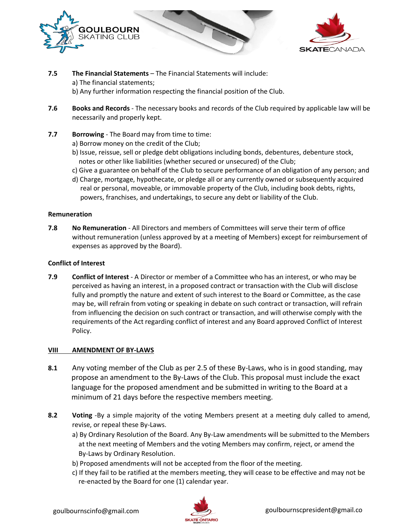



- **7.5 The Financial Statements** The Financial Statements will include: a) The financial statements; b) Any further information respecting the financial position of the Club.
- **7.6 Books and Records** The necessary books and records of the Club required by applicable law will be necessarily and properly kept.
- **7.7 Borrowing** The Board may from time to time:
	- a) Borrow money on the credit of the Club;
	- b) Issue, reissue, sell or pledge debt obligations including bonds, debentures, debenture stock, notes or other like liabilities (whether secured or unsecured) of the Club;
	- c) Give a guarantee on behalf of the Club to secure performance of an obligation of any person; and
	- d) Charge, mortgage, hypothecate, or pledge all or any currently owned or subsequently acquired real or personal, moveable, or immovable property of the Club, including book debts, rights, powers, franchises, and undertakings, to secure any debt or liability of the Club.

#### **Remuneration**

**7.8 No Remuneration** - All Directors and members of Committees will serve their term of office without remuneration (unless approved by at a meeting of Members) except for reimbursement of expenses as approved by the Board).

#### **Conflict of Interest**

**7.9 Conflict of Interest** - A Director or member of a Committee who has an interest, or who may be perceived as having an interest, in a proposed contract or transaction with the Club will disclose fully and promptly the nature and extent of such interest to the Board or Committee, as the case may be, will refrain from voting or speaking in debate on such contract or transaction, will refrain from influencing the decision on such contract or transaction, and will otherwise comply with the requirements of the Act regarding conflict of interest and any Board approved Conflict of Interest Policy.

#### **VIII AMENDMENT OF BY-LAWS**

- **8.1** Any voting member of the Club as per 2.5 of these By-Laws, who is in good standing, may propose an amendment to the By-Laws of the Club. This proposal must include the exact language for the proposed amendment and be submitted in writing to the Board at a minimum of 21 days before the respective members meeting.
- **8.2 Voting** -By a simple majority of the voting Members present at a meeting duly called to amend, revise, or repeal these By-Laws.
	- a) By Ordinary Resolution of the Board. Any By-Law amendments will be submitted to the Members at the next meeting of Members and the voting Members may confirm, reject, or amend the By-Laws by Ordinary Resolution.
	- b) Proposed amendments will not be accepted from the floor of the meeting.
	- c) If they fail to be ratified at the members meeting, they will cease to be effective and may not be re-enacted by the Board for one (1) calendar year.